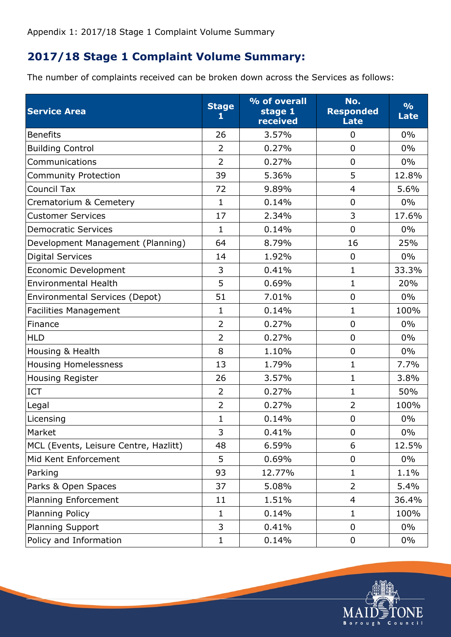## **2017/18 Stage 1 Complaint Volume Summary:**

The number of complaints received can be broken down across the Services as follows:

| <b>Service Area</b>                   | <b>Stage</b><br>1 | % of overall<br>stage 1<br>received | No.<br><b>Responded</b><br><b>Late</b> | $\frac{0}{0}$<br><b>Late</b> |
|---------------------------------------|-------------------|-------------------------------------|----------------------------------------|------------------------------|
| <b>Benefits</b>                       | 26                | 3.57%                               | $\overline{0}$                         | $0\%$                        |
| <b>Building Control</b>               | $\overline{2}$    | 0.27%                               | $\overline{0}$                         | $0\%$                        |
| Communications                        | $\overline{2}$    | 0.27%                               | $\overline{0}$                         | $0\%$                        |
| <b>Community Protection</b>           | 39                | 5.36%                               | 5                                      | 12.8%                        |
| <b>Council Tax</b>                    | 72                | 9.89%                               | $\overline{4}$                         | 5.6%                         |
| Crematorium & Cemetery                | $\mathbf{1}$      | 0.14%                               | $\mathbf 0$                            | $0\%$                        |
| <b>Customer Services</b>              | 17                | 2.34%                               | 3                                      | 17.6%                        |
| <b>Democratic Services</b>            | 1                 | 0.14%                               | $\mathbf 0$                            | $0\%$                        |
| Development Management (Planning)     | 64                | 8.79%                               | 16                                     | 25%                          |
| <b>Digital Services</b>               | 14                | 1.92%                               | 0                                      | $0\%$                        |
| Economic Development                  | 3                 | 0.41%                               | $\mathbf{1}$                           | 33.3%                        |
| <b>Environmental Health</b>           | 5                 | 0.69%                               | $\mathbf{1}$                           | 20%                          |
| Environmental Services (Depot)        | 51                | 7.01%                               | $\mathbf 0$                            | $0\%$                        |
| <b>Facilities Management</b>          | $\mathbf 1$       | 0.14%                               | $\mathbf 1$                            | 100%                         |
| Finance                               | $\overline{2}$    | 0.27%                               | $\mathbf 0$                            | $0\%$                        |
| <b>HLD</b>                            | $\overline{2}$    | 0.27%                               | $\overline{0}$                         | $0\%$                        |
| Housing & Health                      | 8                 | 1.10%                               | $\mathbf 0$                            | $0\%$                        |
| <b>Housing Homelessness</b>           | 13                | 1.79%                               | $\mathbf{1}$                           | 7.7%                         |
| Housing Register                      | 26                | 3.57%                               | $\mathbf{1}$                           | 3.8%                         |
| ICT                                   | $\overline{2}$    | 0.27%                               | $\mathbf{1}$                           | 50%                          |
| Legal                                 | $\overline{2}$    | 0.27%                               | $\overline{2}$                         | 100%                         |
| Licensing                             | $\mathbf{1}$      | 0.14%                               | $\overline{0}$                         | $0\%$                        |
| Market                                | 3                 | 0.41%                               | $\mathbf 0$                            | $0\%$                        |
| MCL (Events, Leisure Centre, Hazlitt) | 48                | 6.59%                               | 6                                      | 12.5%                        |
| Mid Kent Enforcement                  | 5                 | 0.69%                               | $\mathbf 0$                            | $0\%$                        |
| Parking                               | 93                | 12.77%                              | $\mathbf{1}$                           | 1.1%                         |
| Parks & Open Spaces                   | 37                | 5.08%                               | $\overline{2}$                         | 5.4%                         |
| Planning Enforcement                  | 11                | 1.51%                               | $\overline{4}$                         | 36.4%                        |
| <b>Planning Policy</b>                | $\mathbf{1}$      | 0.14%                               | $\mathbf{1}$                           | 100%                         |
| Planning Support                      | 3                 | 0.41%                               | 0                                      | $0\%$                        |
| Policy and Information                | $\mathbf 1$       | 0.14%                               | 0                                      | $0\%$                        |